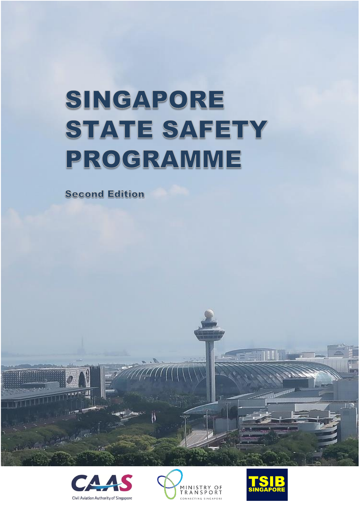# SINGAPORE STATE SAFETY PROGRAMME

**Second Edition** 







T S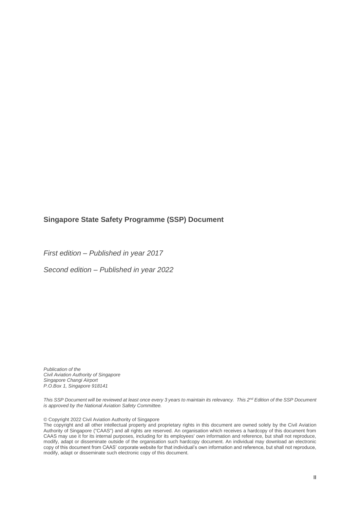#### **Singapore State Safety Programme (SSP) Document**

*First edition – Published in year 2017*

*Second edition – Published in year 2022*

*Publication of the Civil Aviation Authority of Singapore Singapore Changi Airport P.O.Box 1, Singapore 918141*

*This SSP Document will be reviewed at least once every 3 years to maintain its relevancy. This 2nd Edition of the SSP Document is approved by the National Aviation Safety Committee.*

© Copyright 2022 Civil Aviation Authority of Singapore

The copyright and all other intellectual property and proprietary rights in this document are owned solely by the Civil Aviation Authority of Singapore ("CAAS") and all rights are reserved. An organisation which receives a hardcopy of this document from CAAS may use it for its internal purposes, including for its employees' own information and reference, but shall not reproduce, modify, adapt or disseminate outside of the organisation such hardcopy document. An individual may download an electronic modify, adapt or disseminate outside of the organisation such hardcopy document. An individual may d copy of this document from CAAS' corporate website for that individual's own information and reference, but shall not reproduce, modify, adapt or disseminate such electronic copy of this document.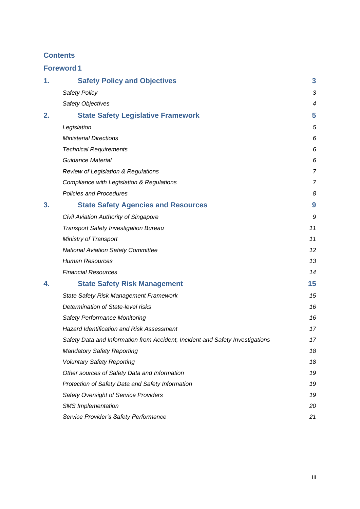#### **Contents**

|    | <b>Foreword1</b>                                                              |                |
|----|-------------------------------------------------------------------------------|----------------|
| 1. | <b>Safety Policy and Objectives</b>                                           | 3              |
|    | <b>Safety Policy</b>                                                          | 3              |
|    | Safety Objectives                                                             | 4              |
| 2. | <b>State Safety Legislative Framework</b>                                     | 5              |
|    | Legislation                                                                   | 5              |
|    | <b>Ministerial Directions</b>                                                 | 6              |
|    | <b>Technical Requirements</b>                                                 | 6              |
|    | <b>Guidance Material</b>                                                      | 6              |
|    | <b>Review of Legislation &amp; Regulations</b>                                | $\overline{7}$ |
|    | Compliance with Legislation & Regulations                                     | $\overline{7}$ |
|    | <b>Policies and Procedures</b>                                                | 8              |
| 3. | <b>State Safety Agencies and Resources</b>                                    | 9              |
|    | Civil Aviation Authority of Singapore                                         | 9              |
|    | <b>Transport Safety Investigation Bureau</b>                                  | 11             |
|    | Ministry of Transport                                                         | 11             |
|    | <b>National Aviation Safety Committee</b>                                     | 12             |
|    | <b>Human Resources</b>                                                        | 13             |
|    | <b>Financial Resources</b>                                                    | 14             |
| 4. | <b>State Safety Risk Management</b>                                           | 15             |
|    | <b>State Safety Risk Management Framework</b>                                 | 15             |
|    | Determination of State-level risks                                            | 16             |
|    | Safety Performance Monitoring                                                 | 16             |
|    | <b>Hazard Identification and Risk Assessment</b>                              | 17             |
|    | Safety Data and Information from Accident, Incident and Safety Investigations | 17             |
|    | <b>Mandatory Safety Reporting</b>                                             | 18             |
|    | <b>Voluntary Safety Reporting</b>                                             | 18             |
|    | Other sources of Safety Data and Information                                  | 19             |
|    | Protection of Safety Data and Safety Information                              | 19             |
|    | Safety Oversight of Service Providers                                         | 19             |
|    | <b>SMS</b> Implementation                                                     | 20             |
|    | Service Provider's Safety Performance                                         | 21             |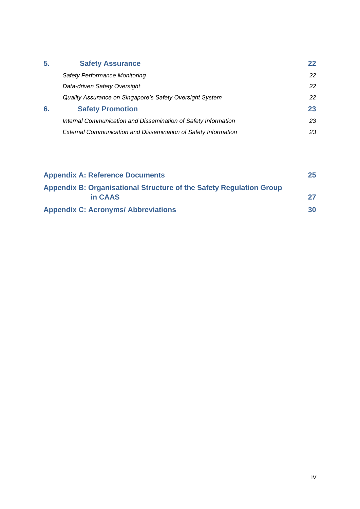| 5. | <b>Safety Assurance</b>                                        | 22 |
|----|----------------------------------------------------------------|----|
|    | <b>Safety Performance Monitoring</b>                           | 22 |
|    | Data-driven Safety Oversight                                   | 22 |
|    | Quality Assurance on Singapore's Safety Oversight System       | 22 |
| 6. | <b>Safety Promotion</b>                                        | 23 |
|    | Internal Communication and Dissemination of Safety Information | 23 |
|    | External Communication and Dissemination of Safety Information | 23 |

| <b>Appendix A: Reference Documents</b>                              | 25 |
|---------------------------------------------------------------------|----|
| Appendix B: Organisational Structure of the Safety Regulation Group |    |
| in CAAS                                                             |    |
| <b>Appendix C: Acronyms/ Abbreviations</b>                          | 30 |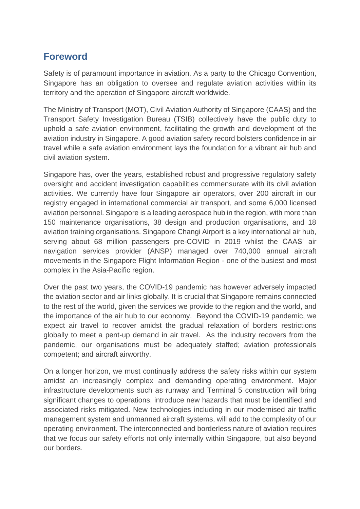# <span id="page-4-0"></span>**Foreword**

Safety is of paramount importance in aviation. As a party to the Chicago Convention, Singapore has an obligation to oversee and regulate aviation activities within its territory and the operation of Singapore aircraft worldwide.

The Ministry of Transport (MOT), Civil Aviation Authority of Singapore (CAAS) and the Transport Safety Investigation Bureau (TSIB) collectively have the public duty to uphold a safe aviation environment, facilitating the growth and development of the aviation industry in Singapore. A good aviation safety record bolsters confidence in air travel while a safe aviation environment lays the foundation for a vibrant air hub and civil aviation system.

Singapore has, over the years, established robust and progressive regulatory safety oversight and accident investigation capabilities commensurate with its civil aviation activities. We currently have four Singapore air operators, over 200 aircraft in our registry engaged in international commercial air transport, and some 6,000 licensed aviation personnel. Singapore is a leading aerospace hub in the region, with more than 150 maintenance organisations, 38 design and production organisations, and 18 aviation training organisations. Singapore Changi Airport is a key international air hub, serving about 68 million passengers pre-COVID in 2019 whilst the CAAS' air navigation services provider (ANSP) managed over 740,000 annual aircraft movements in the Singapore Flight Information Region - one of the busiest and most complex in the Asia-Pacific region.

Over the past two years, the COVID-19 pandemic has however adversely impacted the aviation sector and air links globally. It is crucial that Singapore remains connected to the rest of the world, given the services we provide to the region and the world, and the importance of the air hub to our economy. Beyond the COVID-19 pandemic, we expect air travel to recover amidst the gradual relaxation of borders restrictions globally to meet a pent-up demand in air travel. As the industry recovers from the pandemic, our organisations must be adequately staffed; aviation professionals competent; and aircraft airworthy.

On a longer horizon, we must continually address the safety risks within our system amidst an increasingly complex and demanding operating environment. Major infrastructure developments such as runway and Terminal 5 construction will bring significant changes to operations, introduce new hazards that must be identified and associated risks mitigated. New technologies including in our modernised air traffic management system and unmanned aircraft systems, will add to the complexity of our operating environment. The interconnected and borderless nature of aviation requires that we focus our safety efforts not only internally within Singapore, but also beyond our borders.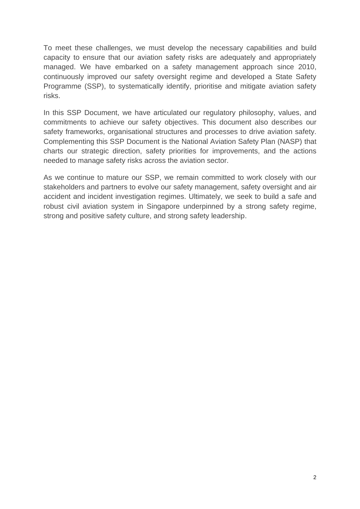To meet these challenges, we must develop the necessary capabilities and build capacity to ensure that our aviation safety risks are adequately and appropriately managed. We have embarked on a safety management approach since 2010, continuously improved our safety oversight regime and developed a State Safety Programme (SSP), to systematically identify, prioritise and mitigate aviation safety risks.

In this SSP Document, we have articulated our regulatory philosophy, values, and commitments to achieve our safety objectives. This document also describes our safety frameworks, organisational structures and processes to drive aviation safety. Complementing this SSP Document is the National Aviation Safety Plan (NASP) that charts our strategic direction, safety priorities for improvements, and the actions needed to manage safety risks across the aviation sector.

As we continue to mature our SSP, we remain committed to work closely with our stakeholders and partners to evolve our safety management, safety oversight and air accident and incident investigation regimes. Ultimately, we seek to build a safe and robust civil aviation system in Singapore underpinned by a strong safety regime, strong and positive safety culture, and strong safety leadership.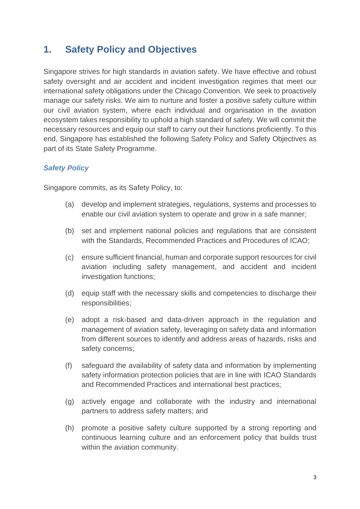# <span id="page-6-0"></span>**1. Safety Policy and Objectives**

Singapore strives for high standards in aviation safety. We have effective and robust safety oversight and air accident and incident investigation regimes that meet our international safety obligations under the Chicago Convention. We seek to proactively manage our safety risks. We aim to nurture and foster a positive safety culture within our civil aviation system, where each individual and organisation in the aviation ecosystem takes responsibility to uphold a high standard of safety. We will commit the necessary resources and equip our staff to carry out their functions proficiently. To this end, Singapore has established the following Safety Policy and Safety Objectives as part of its State Safety Programme.

# <span id="page-6-1"></span>*Safety Policy*

Singapore commits, as its Safety Policy, to:

- (a) develop and implement strategies, regulations, systems and processes to enable our civil aviation system to operate and grow in a safe manner;
- (b) set and implement national policies and regulations that are consistent with the Standards, Recommended Practices and Procedures of ICAO;
- (c) ensure sufficient financial, human and corporate support resources for civil aviation including safety management, and accident and incident investigation functions;
- (d) equip staff with the necessary skills and competencies to discharge their responsibilities;
- (e) adopt a risk-based and data-driven approach in the regulation and management of aviation safety, leveraging on safety data and information from different sources to identify and address areas of hazards, risks and safety concerns;
- (f) safeguard the availability of safety data and information by implementing safety information protection policies that are in line with ICAO Standards and Recommended Practices and international best practices;
- (g) actively engage and collaborate with the industry and international partners to address safety matters; and
- (h) promote a positive safety culture supported by a strong reporting and continuous learning culture and an enforcement policy that builds trust within the aviation community.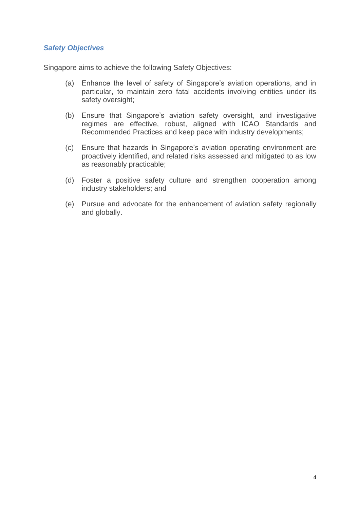#### <span id="page-7-0"></span>*Safety Objectives*

Singapore aims to achieve the following Safety Objectives:

- (a) Enhance the level of safety of Singapore's aviation operations, and in particular, to maintain zero fatal accidents involving entities under its safety oversight;
- (b) Ensure that Singapore's aviation safety oversight, and investigative regimes are effective, robust, aligned with ICAO Standards and Recommended Practices and keep pace with industry developments;
- (c) Ensure that hazards in Singapore's aviation operating environment are proactively identified, and related risks assessed and mitigated to as low as reasonably practicable;
- (d) Foster a positive safety culture and strengthen cooperation among industry stakeholders; and
- (e) Pursue and advocate for the enhancement of aviation safety regionally and globally.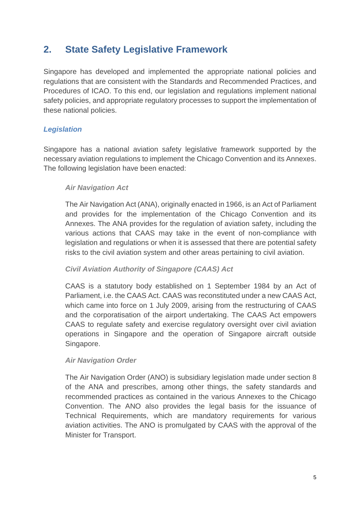# <span id="page-8-0"></span>**2. State Safety Legislative Framework**

Singapore has developed and implemented the appropriate national policies and regulations that are consistent with the Standards and Recommended Practices, and Procedures of ICAO. To this end, our legislation and regulations implement national safety policies, and appropriate regulatory processes to support the implementation of these national policies.

# <span id="page-8-1"></span>*Legislation*

Singapore has a national aviation safety legislative framework supported by the necessary aviation regulations to implement the Chicago Convention and its Annexes. The following legislation have been enacted:

#### *Air Navigation Act*

The Air Navigation Act (ANA), originally enacted in 1966, is an Act of Parliament and provides for the implementation of the Chicago Convention and its Annexes. The ANA provides for the regulation of aviation safety, including the various actions that CAAS may take in the event of non-compliance with legislation and regulations or when it is assessed that there are potential safety risks to the civil aviation system and other areas pertaining to civil aviation.

# *Civil Aviation Authority of Singapore (CAAS) Act*

CAAS is a statutory body established on 1 September 1984 by an Act of Parliament, i.e. the CAAS Act. CAAS was reconstituted under a new CAAS Act, which came into force on 1 July 2009, arising from the restructuring of CAAS and the corporatisation of the airport undertaking. The CAAS Act empowers CAAS to regulate safety and exercise regulatory oversight over civil aviation operations in Singapore and the operation of Singapore aircraft outside Singapore.

# *Air Navigation Order*

The Air Navigation Order (ANO) is subsidiary legislation made under section 8 of the ANA and prescribes, among other things, the safety standards and recommended practices as contained in the various Annexes to the Chicago Convention. The ANO also provides the legal basis for the issuance of Technical Requirements, which are mandatory requirements for various aviation activities. The ANO is promulgated by CAAS with the approval of the Minister for Transport.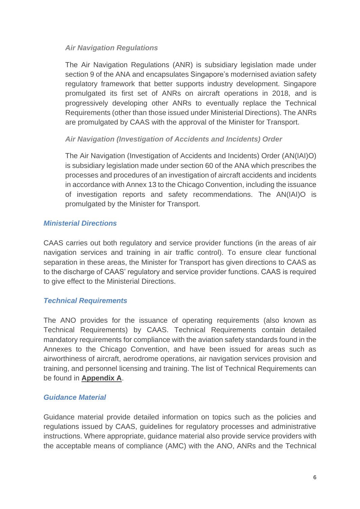# *Air Navigation Regulations*

The Air Navigation Regulations (ANR) is subsidiary legislation made under section 9 of the ANA and encapsulates Singapore's modernised aviation safety regulatory framework that better supports industry development. Singapore promulgated its first set of ANRs on aircraft operations in 2018, and is progressively developing other ANRs to eventually replace the Technical Requirements (other than those issued under Ministerial Directions). The ANRs are promulgated by CAAS with the approval of the Minister for Transport.

# *Air Navigation (Investigation of Accidents and Incidents) Order*

The Air Navigation (Investigation of Accidents and Incidents) Order (AN(IAI)O) is subsidiary legislation made under section 60 of the ANA which prescribes the processes and procedures of an investigation of aircraft accidents and incidents in accordance with Annex 13 to the Chicago Convention, including the issuance of investigation reports and safety recommendations. The AN(IAI)O is promulgated by the Minister for Transport.

#### <span id="page-9-0"></span>*Ministerial Directions*

CAAS carries out both regulatory and service provider functions (in the areas of air navigation services and training in air traffic control). To ensure clear functional separation in these areas, the Minister for Transport has given directions to CAAS as to the discharge of CAAS' regulatory and service provider functions. CAAS is required to give effect to the Ministerial Directions.

# <span id="page-9-1"></span>*Technical Requirements*

The ANO provides for the issuance of operating requirements (also known as Technical Requirements) by CAAS. Technical Requirements contain detailed mandatory requirements for compliance with the aviation safety standards found in the Annexes to the Chicago Convention, and have been issued for areas such as airworthiness of aircraft, aerodrome operations, air navigation services provision and training, and personnel licensing and training. The list of Technical Requirements can be found in **Appendix A**.

#### <span id="page-9-2"></span>*Guidance Material*

Guidance material provide detailed information on topics such as the policies and regulations issued by CAAS, guidelines for regulatory processes and administrative instructions. Where appropriate, guidance material also provide service providers with the acceptable means of compliance (AMC) with the ANO, ANRs and the Technical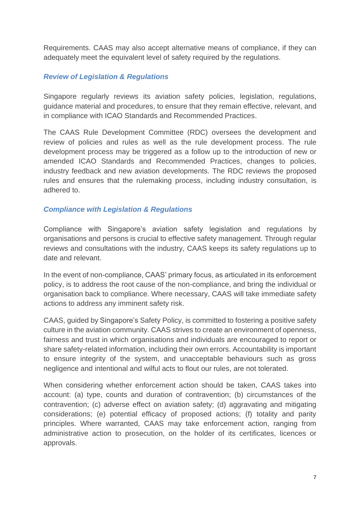Requirements. CAAS may also accept alternative means of compliance, if they can adequately meet the equivalent level of safety required by the regulations.

# <span id="page-10-0"></span>*Review of Legislation & Regulations*

Singapore regularly reviews its aviation safety policies, legislation, regulations, guidance material and procedures, to ensure that they remain effective, relevant, and in compliance with ICAO Standards and Recommended Practices.

The CAAS Rule Development Committee (RDC) oversees the development and review of policies and rules as well as the rule development process. The rule development process may be triggered as a follow up to the introduction of new or amended ICAO Standards and Recommended Practices, changes to policies, industry feedback and new aviation developments. The RDC reviews the proposed rules and ensures that the rulemaking process, including industry consultation, is adhered to.

#### <span id="page-10-1"></span>*Compliance with Legislation & Regulations*

Compliance with Singapore's aviation safety legislation and regulations by organisations and persons is crucial to effective safety management. Through regular reviews and consultations with the industry, CAAS keeps its safety regulations up to date and relevant.

In the event of non-compliance, CAAS' primary focus, as articulated in its enforcement policy, is to address the root cause of the non-compliance, and bring the individual or organisation back to compliance. Where necessary, CAAS will take immediate safety actions to address any imminent safety risk.

CAAS, guided by Singapore's Safety Policy, is committed to fostering a positive safety culture in the aviation community. CAAS strives to create an environment of openness, fairness and trust in which organisations and individuals are encouraged to report or share safety-related information, including their own errors. Accountability is important to ensure integrity of the system, and unacceptable behaviours such as gross negligence and intentional and wilful acts to flout our rules, are not tolerated.

When considering whether enforcement action should be taken, CAAS takes into account: (a) type, counts and duration of contravention; (b) circumstances of the contravention; (c) adverse effect on aviation safety; (d) aggravating and mitigating considerations; (e) potential efficacy of proposed actions; (f) totality and parity principles. Where warranted, CAAS may take enforcement action, ranging from administrative action to prosecution, on the holder of its certificates, licences or approvals.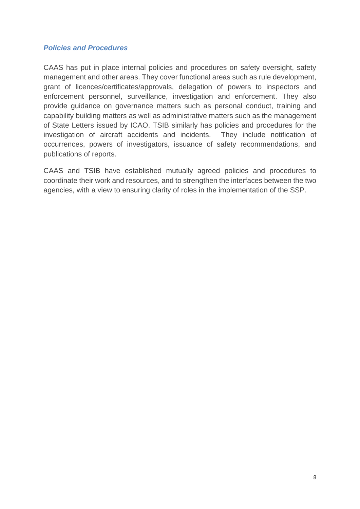#### <span id="page-11-0"></span>*Policies and Procedures*

CAAS has put in place internal policies and procedures on safety oversight, safety management and other areas. They cover functional areas such as rule development, grant of licences/certificates/approvals, delegation of powers to inspectors and enforcement personnel, surveillance, investigation and enforcement. They also provide guidance on governance matters such as personal conduct, training and capability building matters as well as administrative matters such as the management of State Letters issued by ICAO. TSIB similarly has policies and procedures for the investigation of aircraft accidents and incidents. They include notification of occurrences, powers of investigators, issuance of safety recommendations, and publications of reports.

CAAS and TSIB have established mutually agreed policies and procedures to coordinate their work and resources, and to strengthen the interfaces between the two agencies, with a view to ensuring clarity of roles in the implementation of the SSP.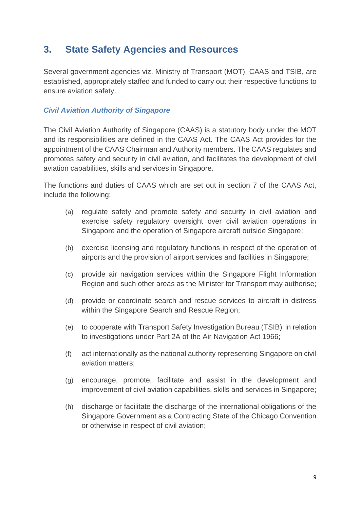# <span id="page-12-0"></span>**3. State Safety Agencies and Resources**

Several government agencies viz. Ministry of Transport (MOT), CAAS and TSIB, are established, appropriately staffed and funded to carry out their respective functions to ensure aviation safety.

# <span id="page-12-1"></span>*Civil Aviation Authority of Singapore*

The Civil Aviation Authority of Singapore (CAAS) is a statutory body under the MOT and its responsibilities are defined in the CAAS Act. The CAAS Act provides for the appointment of the CAAS Chairman and Authority members. The CAAS regulates and promotes safety and security in civil aviation, and facilitates the development of civil aviation capabilities, skills and services in Singapore.

The functions and duties of CAAS which are set out in section 7 of the CAAS Act, include the following:

- (a) regulate safety and promote safety and security in civil aviation and exercise safety regulatory oversight over civil aviation operations in Singapore and the operation of Singapore aircraft outside Singapore;
- (b) exercise licensing and regulatory functions in respect of the operation of airports and the provision of airport services and facilities in Singapore;
- (c) provide air navigation services within the Singapore Flight Information Region and such other areas as the Minister for Transport may authorise;
- (d) provide or coordinate search and rescue services to aircraft in distress within the Singapore Search and Rescue Region;
- (e) to cooperate with Transport Safety Investigation Bureau (TSIB) in relation to investigations under Part 2A of the Air Navigation Act 1966;
- (f) act internationally as the national authority representing Singapore on civil aviation matters;
- (g) encourage, promote, facilitate and assist in the development and improvement of civil aviation capabilities, skills and services in Singapore;
- (h) discharge or facilitate the discharge of the international obligations of the Singapore Government as a Contracting State of the Chicago Convention or otherwise in respect of civil aviation;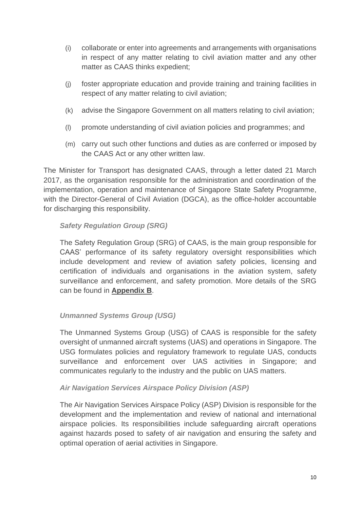- (i) collaborate or enter into agreements and arrangements with organisations in respect of any matter relating to civil aviation matter and any other matter as CAAS thinks expedient;
- (j) foster appropriate education and provide training and training facilities in respect of any matter relating to civil aviation;
- (k) advise the Singapore Government on all matters relating to civil aviation;
- (l) promote understanding of civil aviation policies and programmes; and
- (m) carry out such other functions and duties as are conferred or imposed by the CAAS Act or any other written law.

The Minister for Transport has designated CAAS, through a letter dated 21 March 2017, as the organisation responsible for the administration and coordination of the implementation, operation and maintenance of Singapore State Safety Programme, with the Director-General of Civil Aviation (DGCA), as the office-holder accountable for discharging this responsibility.

#### *Safety Regulation Group (SRG)*

The Safety Regulation Group (SRG) of CAAS, is the main group responsible for CAAS' performance of its safety regulatory oversight responsibilities which include development and review of aviation safety policies, licensing and certification of individuals and organisations in the aviation system, safety surveillance and enforcement, and safety promotion. More details of the SRG can be found in **Appendix B**.

# *Unmanned Systems Group (USG)*

The Unmanned Systems Group (USG) of CAAS is responsible for the safety oversight of unmanned aircraft systems (UAS) and operations in Singapore. The USG formulates policies and regulatory framework to regulate UAS, conducts surveillance and enforcement over UAS activities in Singapore; and communicates regularly to the industry and the public on UAS matters.

#### *Air Navigation Services Airspace Policy Division (ASP)*

The Air Navigation Services Airspace Policy (ASP) Division is responsible for the development and the implementation and review of national and international airspace policies. Its responsibilities include safeguarding aircraft operations against hazards posed to safety of air navigation and ensuring the safety and optimal operation of aerial activities in Singapore.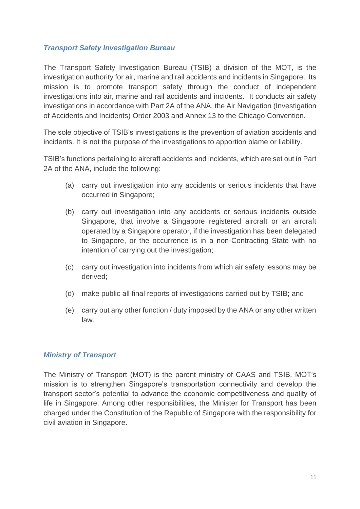# <span id="page-14-0"></span>*Transport Safety Investigation Bureau*

The Transport Safety Investigation Bureau (TSIB) a division of the MOT, is the investigation authority for air, marine and rail accidents and incidents in Singapore. Its mission is to promote transport safety through the conduct of independent investigations into air, marine and rail accidents and incidents. It conducts air safety investigations in accordance with Part 2A of the ANA, the Air Navigation (Investigation of Accidents and Incidents) Order 2003 and Annex 13 to the Chicago Convention.

The sole objective of TSIB's investigations is the prevention of aviation accidents and incidents. It is not the purpose of the investigations to apportion blame or liability.

TSIB's functions pertaining to aircraft accidents and incidents, which are set out in Part 2A of the ANA, include the following:

- (a) carry out investigation into any accidents or serious incidents that have occurred in Singapore;
- (b) carry out investigation into any accidents or serious incidents outside Singapore, that involve a Singapore registered aircraft or an aircraft operated by a Singapore operator, if the investigation has been delegated to Singapore, or the occurrence is in a non-Contracting State with no intention of carrying out the investigation;
- (c) carry out investigation into incidents from which air safety lessons may be derived;
- (d) make public all final reports of investigations carried out by TSIB; and
- (e) carry out any other function / duty imposed by the ANA or any other written law.

# <span id="page-14-1"></span>*Ministry of Transport*

The Ministry of Transport (MOT) is the parent ministry of CAAS and TSIB. MOT's mission is to strengthen Singapore's transportation connectivity and develop the transport sector's potential to advance the economic competitiveness and quality of life in Singapore. Among other responsibilities, the Minister for Transport has been charged under the Constitution of the Republic of Singapore with the responsibility for civil aviation in Singapore.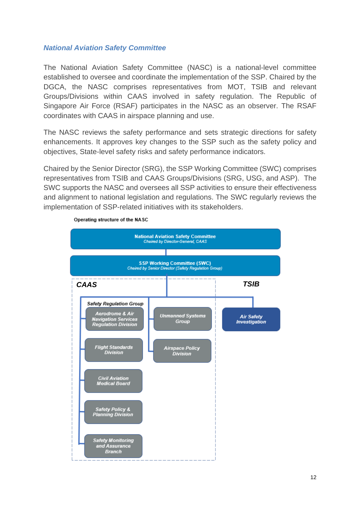#### <span id="page-15-0"></span>*National Aviation Safety Committee*

The National Aviation Safety Committee (NASC) is a national-level committee established to oversee and coordinate the implementation of the SSP. Chaired by the DGCA, the NASC comprises representatives from MOT, TSIB and relevant Groups/Divisions within CAAS involved in safety regulation. The Republic of Singapore Air Force (RSAF) participates in the NASC as an observer. The RSAF coordinates with CAAS in airspace planning and use.

The NASC reviews the safety performance and sets strategic directions for safety enhancements. It approves key changes to the SSP such as the safety policy and objectives, State-level safety risks and safety performance indicators.

Chaired by the Senior Director (SRG), the SSP Working Committee (SWC) comprises representatives from TSIB and CAAS Groups/Divisions (SRG, USG, and ASP). The SWC supports the NASC and oversees all SSP activities to ensure their effectiveness and alignment to national legislation and regulations. The SWC regularly reviews the implementation of SSP-related initiatives with its stakeholders.



Operating structure of the NASC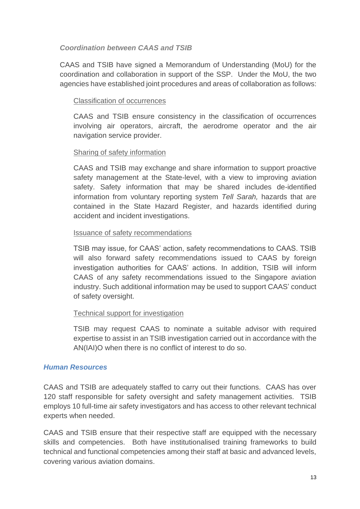#### *Coordination between CAAS and TSIB*

CAAS and TSIB have signed a Memorandum of Understanding (MoU) for the coordination and collaboration in support of the SSP. Under the MoU, the two agencies have established joint procedures and areas of collaboration as follows:

#### Classification of occurrences

CAAS and TSIB ensure consistency in the classification of occurrences involving air operators, aircraft, the aerodrome operator and the air navigation service provider.

#### Sharing of safety information

CAAS and TSIB may exchange and share information to support proactive safety management at the State-level, with a view to improving aviation safety. Safety information that may be shared includes de-identified information from voluntary reporting system *Tell Sarah,* hazards that are contained in the State Hazard Register, and hazards identified during accident and incident investigations.

#### Issuance of safety recommendations

TSIB may issue, for CAAS' action, safety recommendations to CAAS. TSIB will also forward safety recommendations issued to CAAS by foreign investigation authorities for CAAS' actions. In addition, TSIB will inform CAAS of any safety recommendations issued to the Singapore aviation industry. Such additional information may be used to support CAAS' conduct of safety oversight.

#### Technical support for investigation

TSIB may request CAAS to nominate a suitable advisor with required expertise to assist in an TSIB investigation carried out in accordance with the AN(IAI)O when there is no conflict of interest to do so.

#### <span id="page-16-0"></span>*Human Resources*

CAAS and TSIB are adequately staffed to carry out their functions. CAAS has over 120 staff responsible for safety oversight and safety management activities. TSIB employs 10 full-time air safety investigators and has access to other relevant technical experts when needed.

CAAS and TSIB ensure that their respective staff are equipped with the necessary skills and competencies. Both have institutionalised training frameworks to build technical and functional competencies among their staff at basic and advanced levels, covering various aviation domains.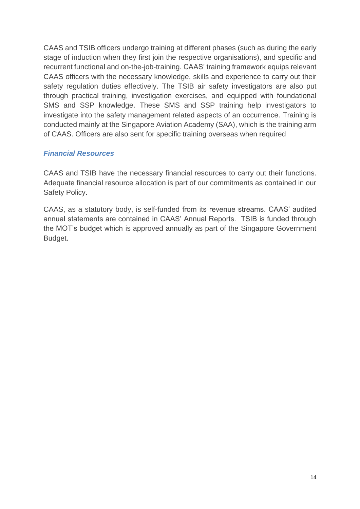CAAS and TSIB officers undergo training at different phases (such as during the early stage of induction when they first join the respective organisations), and specific and recurrent functional and on-the-job-training. CAAS' training framework equips relevant CAAS officers with the necessary knowledge, skills and experience to carry out their safety regulation duties effectively. The TSIB air safety investigators are also put through practical training, investigation exercises, and equipped with foundational SMS and SSP knowledge. These SMS and SSP training help investigators to investigate into the safety management related aspects of an occurrence. Training is conducted mainly at the Singapore Aviation Academy (SAA), which is the training arm of CAAS. Officers are also sent for specific training overseas when required

# <span id="page-17-0"></span>*Financial Resources*

CAAS and TSIB have the necessary financial resources to carry out their functions. Adequate financial resource allocation is part of our commitments as contained in our Safety Policy.

CAAS, as a statutory body, is self-funded from its revenue streams. CAAS' audited annual statements are contained in CAAS' Annual Reports. TSIB is funded through the MOT's budget which is approved annually as part of the Singapore Government Budget.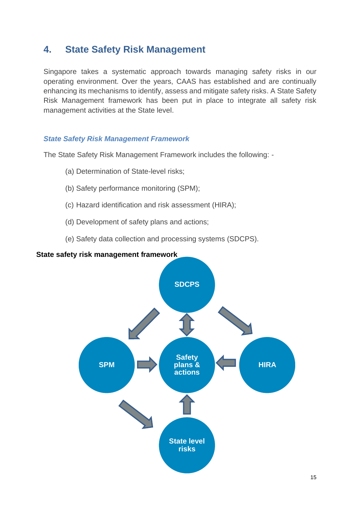# <span id="page-18-0"></span>**4. State Safety Risk Management**

Singapore takes a systematic approach towards managing safety risks in our operating environment. Over the years, CAAS has established and are continually enhancing its mechanisms to identify, assess and mitigate safety risks. A State Safety Risk Management framework has been put in place to integrate all safety risk management activities at the State level.

# <span id="page-18-1"></span>*State Safety Risk Management Framework*

The State Safety Risk Management Framework includes the following: -

- (a) Determination of State-level risks;
- (b) Safety performance monitoring (SPM);
- (c) Hazard identification and risk assessment (HIRA);
- (d) Development of safety plans and actions;
- (e) Safety data collection and processing systems (SDCPS).

#### **State safety risk management framework**

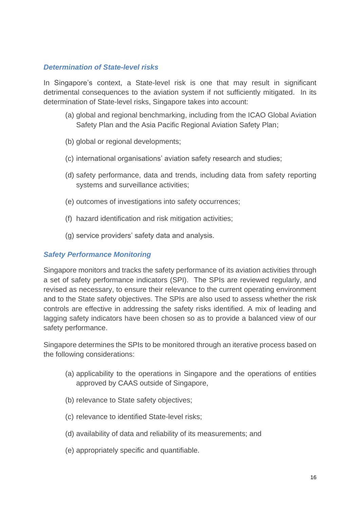#### <span id="page-19-0"></span>*Determination of State-level risks*

In Singapore's context, a State-level risk is one that may result in significant detrimental consequences to the aviation system if not sufficiently mitigated. In its determination of State-level risks, Singapore takes into account:

- (a) global and regional benchmarking, including from the ICAO Global Aviation Safety Plan and the Asia Pacific Regional Aviation Safety Plan;
- (b) global or regional developments;
- (c) international organisations' aviation safety research and studies;
- (d) safety performance, data and trends, including data from safety reporting systems and surveillance activities;
- (e) outcomes of investigations into safety occurrences;
- (f) hazard identification and risk mitigation activities;
- (g) service providers' safety data and analysis.

#### <span id="page-19-1"></span>*Safety Performance Monitoring*

Singapore monitors and tracks the safety performance of its aviation activities through a set of safety performance indicators (SPI). The SPIs are reviewed regularly, and revised as necessary, to ensure their relevance to the current operating environment and to the State safety objectives. The SPIs are also used to assess whether the risk controls are effective in addressing the safety risks identified. A mix of leading and lagging safety indicators have been chosen so as to provide a balanced view of our safety performance.

Singapore determines the SPIs to be monitored through an iterative process based on the following considerations:

- (a) applicability to the operations in Singapore and the operations of entities approved by CAAS outside of Singapore,
- (b) relevance to State safety objectives;
- (c) relevance to identified State-level risks;
- (d) availability of data and reliability of its measurements; and
- (e) appropriately specific and quantifiable.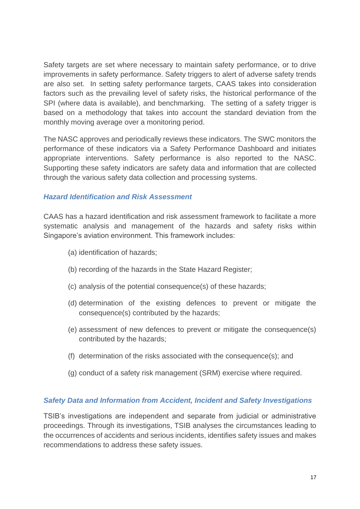Safety targets are set where necessary to maintain safety performance, or to drive improvements in safety performance. Safety triggers to alert of adverse safety trends are also set. In setting safety performance targets, CAAS takes into consideration factors such as the prevailing level of safety risks, the historical performance of the SPI (where data is available), and benchmarking. The setting of a safety trigger is based on a methodology that takes into account the standard deviation from the monthly moving average over a monitoring period.

The NASC approves and periodically reviews these indicators. The SWC monitors the performance of these indicators via a Safety Performance Dashboard and initiates appropriate interventions. Safety performance is also reported to the NASC. Supporting these safety indicators are safety data and information that are collected through the various safety data collection and processing systems.

#### <span id="page-20-0"></span>*Hazard Identification and Risk Assessment*

CAAS has a hazard identification and risk assessment framework to facilitate a more systematic analysis and management of the hazards and safety risks within Singapore's aviation environment. This framework includes:

- (a) identification of hazards;
- (b) recording of the hazards in the State Hazard Register;
- (c) analysis of the potential consequence(s) of these hazards;
- (d) determination of the existing defences to prevent or mitigate the consequence(s) contributed by the hazards;
- (e) assessment of new defences to prevent or mitigate the consequence(s) contributed by the hazards;
- (f) determination of the risks associated with the consequence(s); and
- (g) conduct of a safety risk management (SRM) exercise where required.

#### <span id="page-20-1"></span>*Safety Data and Information from Accident, Incident and Safety Investigations*

TSIB's investigations are independent and separate from judicial or administrative proceedings. Through its investigations, TSIB analyses the circumstances leading to the occurrences of accidents and serious incidents, identifies safety issues and makes recommendations to address these safety issues.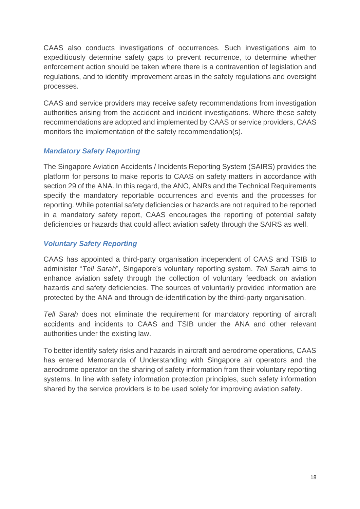CAAS also conducts investigations of occurrences. Such investigations aim to expeditiously determine safety gaps to prevent recurrence, to determine whether enforcement action should be taken where there is a contravention of legislation and regulations, and to identify improvement areas in the safety regulations and oversight processes.

CAAS and service providers may receive safety recommendations from investigation authorities arising from the accident and incident investigations. Where these safety recommendations are adopted and implemented by CAAS or service providers, CAAS monitors the implementation of the safety recommendation(s).

# <span id="page-21-0"></span>*Mandatory Safety Reporting*

The Singapore Aviation Accidents / Incidents Reporting System (SAIRS) provides the platform for persons to make reports to CAAS on safety matters in accordance with section 29 of the ANA. In this regard, the ANO, ANRs and the Technical Requirements specify the mandatory reportable occurrences and events and the processes for reporting. While potential safety deficiencies or hazards are not required to be reported in a mandatory safety report, CAAS encourages the reporting of potential safety deficiencies or hazards that could affect aviation safety through the SAIRS as well.

# <span id="page-21-1"></span>*Voluntary Safety Reporting*

CAAS has appointed a third-party organisation independent of CAAS and TSIB to administer "*Tell Sarah*", Singapore's voluntary reporting system. *Tell Sarah* aims to enhance aviation safety through the collection of voluntary feedback on aviation hazards and safety deficiencies. The sources of voluntarily provided information are protected by the ANA and through de-identification by the third-party organisation.

*Tell Sarah* does not eliminate the requirement for mandatory reporting of aircraft accidents and incidents to CAAS and TSIB under the ANA and other relevant authorities under the existing law.

To better identify safety risks and hazards in aircraft and aerodrome operations, CAAS has entered Memoranda of Understanding with Singapore air operators and the aerodrome operator on the sharing of safety information from their voluntary reporting systems. In line with safety information protection principles, such safety information shared by the service providers is to be used solely for improving aviation safety.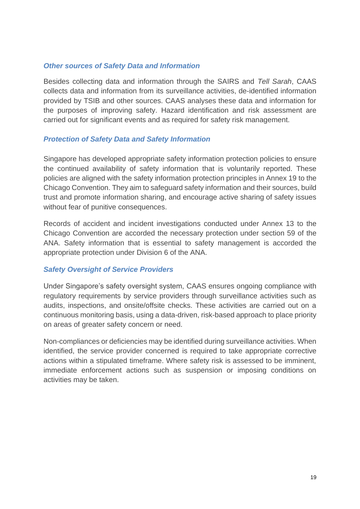#### <span id="page-22-0"></span>*Other sources of Safety Data and Information*

Besides collecting data and information through the SAIRS and *Tell Sarah*, CAAS collects data and information from its surveillance activities, de-identified information provided by TSIB and other sources. CAAS analyses these data and information for the purposes of improving safety. Hazard identification and risk assessment are carried out for significant events and as required for safety risk management.

# <span id="page-22-1"></span>*Protection of Safety Data and Safety Information*

Singapore has developed appropriate safety information protection policies to ensure the continued availability of safety information that is voluntarily reported. These policies are aligned with the safety information protection principles in Annex 19 to the Chicago Convention. They aim to safeguard safety information and their sources, build trust and promote information sharing, and encourage active sharing of safety issues without fear of punitive consequences.

Records of accident and incident investigations conducted under Annex 13 to the Chicago Convention are accorded the necessary protection under section 59 of the ANA. Safety information that is essential to safety management is accorded the appropriate protection under Division 6 of the ANA.

#### <span id="page-22-2"></span>*Safety Oversight of Service Providers*

Under Singapore's safety oversight system, CAAS ensures ongoing compliance with regulatory requirements by service providers through surveillance activities such as audits, inspections, and onsite/offsite checks. These activities are carried out on a continuous monitoring basis, using a data-driven, risk-based approach to place priority on areas of greater safety concern or need.

Non-compliances or deficiencies may be identified during surveillance activities. When identified, the service provider concerned is required to take appropriate corrective actions within a stipulated timeframe. Where safety risk is assessed to be imminent, immediate enforcement actions such as suspension or imposing conditions on activities may be taken.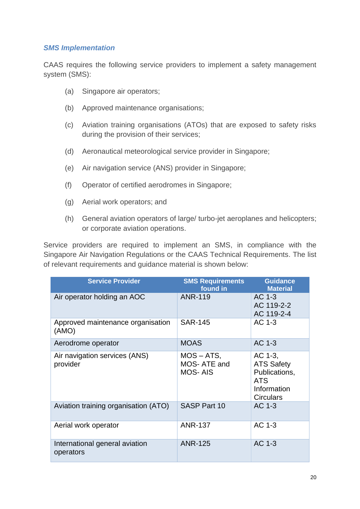#### <span id="page-23-0"></span>*SMS Implementation*

CAAS requires the following service providers to implement a safety management system (SMS):

- (a) Singapore air operators;
- (b) Approved maintenance organisations;
- (c) Aviation training organisations (ATOs) that are exposed to safety risks during the provision of their services;
- (d) Aeronautical meteorological service provider in Singapore;
- (e) Air navigation service (ANS) provider in Singapore;
- (f) Operator of certified aerodromes in Singapore;
- (g) Aerial work operators; and
- (h) General aviation operators of large/ turbo-jet aeroplanes and helicopters; or corporate aviation operations.

Service providers are required to implement an SMS, in compliance with the Singapore Air Navigation Regulations or the CAAS Technical Requirements. The list of relevant requirements and guidance material is shown below:

| <b>Service Provider</b>                     | <b>SMS Requirements</b><br>found in            | <b>Guidance</b><br><b>Material</b>                                                             |
|---------------------------------------------|------------------------------------------------|------------------------------------------------------------------------------------------------|
| Air operator holding an AOC                 | <b>ANR-119</b>                                 | AC 1-3<br>AC 119-2-2<br>AC 119-2-4                                                             |
| Approved maintenance organisation<br>(AMO)  | <b>SAR-145</b>                                 | AC 1-3                                                                                         |
| Aerodrome operator                          | <b>MOAS</b>                                    | AC 1-3                                                                                         |
| Air navigation services (ANS)<br>provider   | $MOS - ATS$ ,<br>MOS-ATE and<br><b>MOS-AIS</b> | AC 1-3,<br><b>ATS Safety</b><br>Publications,<br><b>ATS</b><br>Information<br><b>Circulars</b> |
| Aviation training organisation (ATO)        | <b>SASP Part 10</b>                            | AC 1-3                                                                                         |
| Aerial work operator                        | <b>ANR-137</b>                                 | AC 1-3                                                                                         |
| International general aviation<br>operators | <b>ANR-125</b>                                 | AC 1-3                                                                                         |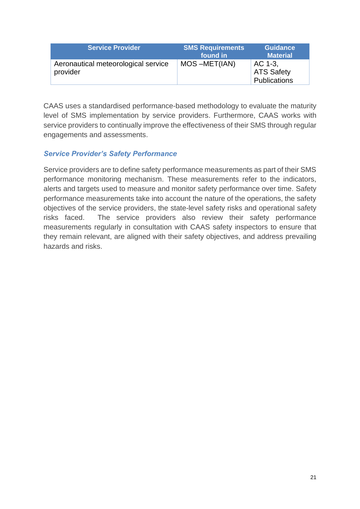| <b>Service Provider</b>                         | <b>SMS Requirements</b><br>found in | <b>Guidance</b><br><b>Material</b>           |
|-------------------------------------------------|-------------------------------------|----------------------------------------------|
| Aeronautical meteorological service<br>provider | MOS-MET(IAN)                        | AC 1-3.<br><b>ATS Safety</b><br>Publications |

CAAS uses a standardised performance-based methodology to evaluate the maturity level of SMS implementation by service providers. Furthermore, CAAS works with service providers to continually improve the effectiveness of their SMS through regular engagements and assessments.

# <span id="page-24-0"></span>*Service Provider's Safety Performance*

Service providers are to define safety performance measurements as part of their SMS performance monitoring mechanism. These measurements refer to the indicators, alerts and targets used to measure and monitor safety performance over time. Safety performance measurements take into account the nature of the operations, the safety objectives of the service providers, the state-level safety risks and operational safety risks faced. The service providers also review their safety performance measurements regularly in consultation with CAAS safety inspectors to ensure that they remain relevant, are aligned with their safety objectives, and address prevailing hazards and risks.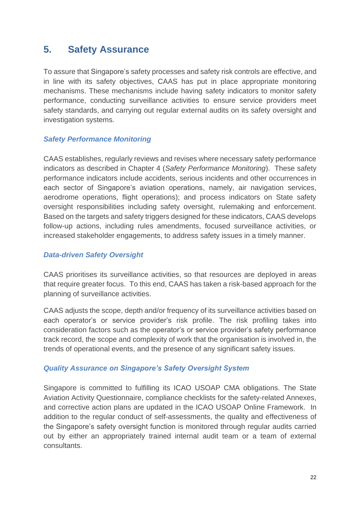# <span id="page-25-0"></span>**5. Safety Assurance**

To assure that Singapore's safety processes and safety risk controls are effective, and in line with its safety objectives, CAAS has put in place appropriate monitoring mechanisms. These mechanisms include having safety indicators to monitor safety performance, conducting surveillance activities to ensure service providers meet safety standards, and carrying out regular external audits on its safety oversight and investigation systems.

#### <span id="page-25-1"></span>*Safety Performance Monitoring*

CAAS establishes, regularly reviews and revises where necessary safety performance indicators as described in Chapter 4 (*Safety Performance Monitoring*). These safety performance indicators include accidents, serious incidents and other occurrences in each sector of Singapore's aviation operations, namely, air navigation services, aerodrome operations, flight operations); and process indicators on State safety oversight responsibilities including safety oversight, rulemaking and enforcement. Based on the targets and safety triggers designed for these indicators, CAAS develops follow-up actions, including rules amendments, focused surveillance activities, or increased stakeholder engagements, to address safety issues in a timely manner.

#### <span id="page-25-2"></span>*Data-driven Safety Oversight*

CAAS prioritises its surveillance activities, so that resources are deployed in areas that require greater focus. To this end, CAAS has taken a risk-based approach for the planning of surveillance activities.

CAAS adjusts the scope, depth and/or frequency of its surveillance activities based on each operator's or service provider's risk profile. The risk profiling takes into consideration factors such as the operator's or service provider's safety performance track record, the scope and complexity of work that the organisation is involved in, the trends of operational events, and the presence of any significant safety issues.

# <span id="page-25-3"></span>*Quality Assurance on Singapore's Safety Oversight System*

Singapore is committed to fulfilling its ICAO USOAP CMA obligations. The State Aviation Activity Questionnaire, compliance checklists for the safety-related Annexes, and corrective action plans are updated in the ICAO USOAP Online Framework. In addition to the regular conduct of self-assessments, the quality and effectiveness of the Singapore's safety oversight function is monitored through regular audits carried out by either an appropriately trained internal audit team or a team of external consultants.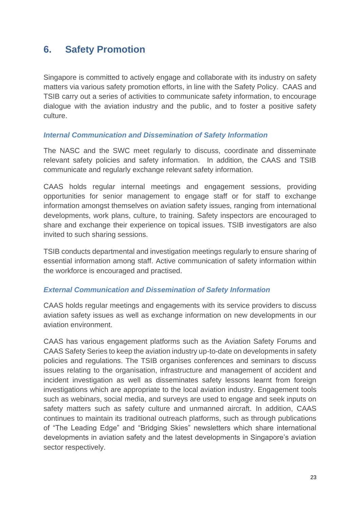# <span id="page-26-0"></span>**6. Safety Promotion**

Singapore is committed to actively engage and collaborate with its industry on safety matters via various safety promotion efforts, in line with the Safety Policy. CAAS and TSIB carry out a series of activities to communicate safety information, to encourage dialogue with the aviation industry and the public, and to foster a positive safety culture.

#### <span id="page-26-1"></span>*Internal Communication and Dissemination of Safety Information*

The NASC and the SWC meet regularly to discuss, coordinate and disseminate relevant safety policies and safety information. In addition, the CAAS and TSIB communicate and regularly exchange relevant safety information.

CAAS holds regular internal meetings and engagement sessions, providing opportunities for senior management to engage staff or for staff to exchange information amongst themselves on aviation safety issues, ranging from international developments, work plans, culture, to training. Safety inspectors are encouraged to share and exchange their experience on topical issues. TSIB investigators are also invited to such sharing sessions.

TSIB conducts departmental and investigation meetings regularly to ensure sharing of essential information among staff. Active communication of safety information within the workforce is encouraged and practised.

# <span id="page-26-2"></span>*External Communication and Dissemination of Safety Information*

CAAS holds regular meetings and engagements with its service providers to discuss aviation safety issues as well as exchange information on new developments in our aviation environment.

CAAS has various engagement platforms such as the Aviation Safety Forums and CAAS Safety Series to keep the aviation industry up-to-date on developments in safety policies and regulations. The TSIB organises conferences and seminars to discuss issues relating to the organisation, infrastructure and management of accident and incident investigation as well as disseminates safety lessons learnt from foreign investigations which are appropriate to the local aviation industry. Engagement tools such as webinars, social media, and surveys are used to engage and seek inputs on safety matters such as safety culture and unmanned aircraft. In addition, CAAS continues to maintain its traditional outreach platforms, such as through publications of "The Leading Edge" and "Bridging Skies" newsletters which share international developments in aviation safety and the latest developments in Singapore's aviation sector respectively.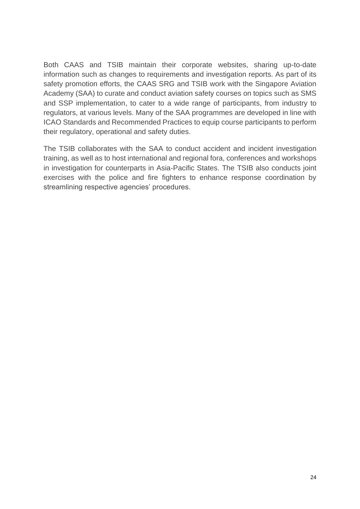Both CAAS and TSIB maintain their corporate websites, sharing up-to-date information such as changes to requirements and investigation reports. As part of its safety promotion efforts, the CAAS SRG and TSIB work with the Singapore Aviation Academy (SAA) to curate and conduct aviation safety courses on topics such as SMS and SSP implementation, to cater to a wide range of participants, from industry to regulators, at various levels. Many of the SAA programmes are developed in line with ICAO Standards and Recommended Practices to equip course participants to perform their regulatory, operational and safety duties.

The TSIB collaborates with the SAA to conduct accident and incident investigation training, as well as to host international and regional fora, conferences and workshops in investigation for counterparts in Asia-Pacific States. The TSIB also conducts joint exercises with the police and fire fighters to enhance response coordination by streamlining respective agencies' procedures.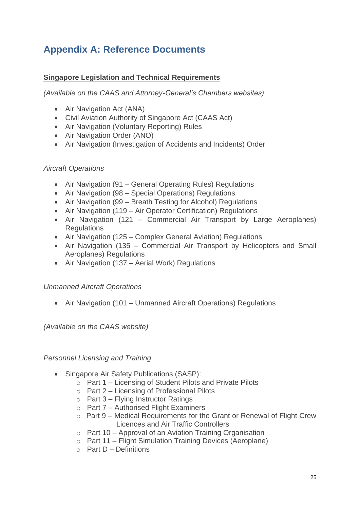# <span id="page-28-0"></span>**Appendix A: Reference Documents**

# **Singapore Legislation and Technical Requirements**

*(Available on the CAAS and Attorney-General's Chambers websites)*

- Air Navigation Act (ANA)
- Civil Aviation Authority of Singapore Act (CAAS Act)
- Air Navigation (Voluntary Reporting) Rules
- Air Navigation Order (ANO)
- Air Navigation (Investigation of Accidents and Incidents) Order

# *Aircraft Operations*

- Air Navigation (91 General Operating Rules) Regulations
- Air Navigation (98 Special Operations) Regulations
- Air Navigation (99 Breath Testing for Alcohol) Regulations
- Air Navigation (119 Air Operator Certification) Regulations
- Air Navigation (121 Commercial Air Transport by Large Aeroplanes) **Regulations**
- Air Navigation (125 Complex General Aviation) Regulations
- Air Navigation (135 Commercial Air Transport by Helicopters and Small Aeroplanes) Regulations
- Air Navigation (137 Aerial Work) Regulations

# *Unmanned Aircraft Operations*

• Air Navigation (101 – Unmanned Aircraft Operations) Regulations

*(Available on the CAAS website)*

# *Personnel Licensing and Training*

- Singapore Air Safety Publications (SASP):
	- o Part 1 Licensing of Student Pilots and Private Pilots
	- o Part 2 Licensing of Professional Pilots
	- $\circ$  Part 3 Flying Instructor Ratings
	- o Part 7 Authorised Flight Examiners
	- o Part 9 Medical Requirements for the Grant or Renewal of Flight Crew Licences and Air Traffic Controllers
	- o Part 10 Approval of an Aviation Training Organisation
	- o Part 11 Flight Simulation Training Devices (Aeroplane)
	- $\circ$  Part D Definitions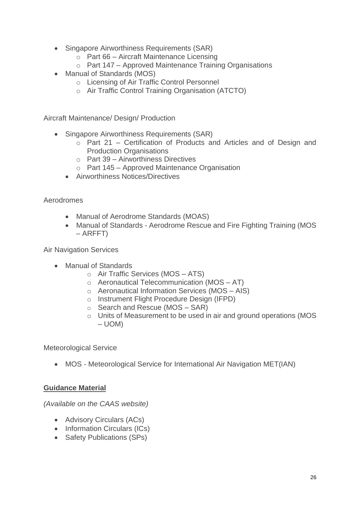- Singapore Airworthiness Requirements (SAR)
	- o Part 66 Aircraft Maintenance Licensing
	- o Part 147 Approved Maintenance Training Organisations
- Manual of Standards (MOS)
	- o Licensing of Air Traffic Control Personnel
	- o Air Traffic Control Training Organisation (ATCTO)

Aircraft Maintenance/ Design/ Production

- Singapore Airworthiness Requirements (SAR)
	- o Part 21 Certification of Products and Articles and of Design and Production Organisations
	- o Part 39 Airworthiness Directives
	- o Part 145 Approved Maintenance Organisation
	- Airworthiness Notices/Directives

Aerodromes

- Manual of Aerodrome Standards (MOAS)
- Manual of Standards Aerodrome Rescue and Fire Fighting Training (MOS – ARFFT)

Air Navigation Services

- Manual of Standards
	- o Air Traffic Services (MOS ATS)
	- o Aeronautical Telecommunication (MOS AT)
	- o Aeronautical Information Services (MOS AIS)
	- o Instrument Flight Procedure Design (IFPD)
	- $\circ$  Search and Rescue (MOS SAR)
	- o Units of Measurement to be used in air and ground operations (MOS – UOM)

Meteorological Service

• MOS - Meteorological Service for International Air Navigation MET(IAN)

#### **Guidance Material**

*(Available on the CAAS website)*

- Advisory Circulars (ACs)
- Information Circulars (ICs)
- Safety Publications (SPs)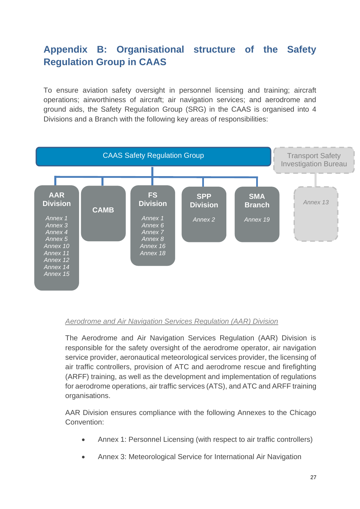# <span id="page-30-0"></span>**Appendix B: Organisational structure of the Safety Regulation Group in CAAS**

To ensure aviation safety oversight in personnel licensing and training; aircraft operations; airworthiness of aircraft; air navigation services; and aerodrome and ground aids, the Safety Regulation Group (SRG) in the CAAS is organised into 4 Divisions and a Branch with the following key areas of responsibilities:



#### *Aerodrome and Air Navigation Services Regulation (AAR) Division*

The Aerodrome and Air Navigation Services Regulation (AAR) Division is responsible for the safety oversight of the aerodrome operator, air navigation service provider, aeronautical meteorological services provider, the licensing of air traffic controllers, provision of ATC and aerodrome rescue and firefighting (ARFF) training, as well as the development and implementation of regulations for aerodrome operations, air traffic services (ATS), and ATC and ARFF training organisations.

AAR Division ensures compliance with the following Annexes to the Chicago Convention:

- Annex 1: Personnel Licensing (with respect to air traffic controllers)
- Annex 3: Meteorological Service for International Air Navigation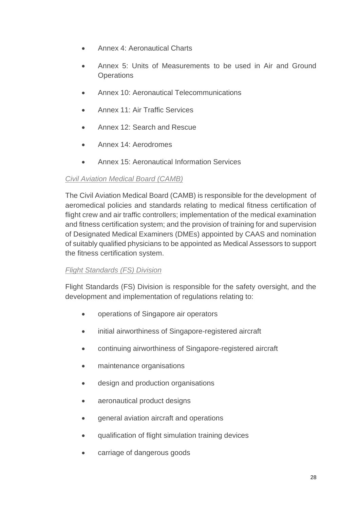- Annex 4: Aeronautical Charts
- Annex 5: Units of Measurements to be used in Air and Ground **Operations**
- Annex 10: Aeronautical Telecommunications
- Annex 11: Air Traffic Services
- Annex 12: Search and Rescue
- Annex 14: Aerodromes
- Annex 15: Aeronautical Information Services

# *Civil Aviation Medical Board (CAMB)*

The Civil Aviation Medical Board (CAMB) is responsible for the development of aeromedical policies and standards relating to medical fitness certification of flight crew and air traffic controllers; implementation of the medical examination and fitness certification system; and the provision of training for and supervision of Designated Medical Examiners (DMEs) appointed by CAAS and nomination of suitably qualified physicians to be appointed as Medical Assessors to support the fitness certification system.

# *Flight Standards (FS) Division*

Flight Standards (FS) Division is responsible for the safety oversight, and the development and implementation of regulations relating to:

- operations of Singapore air operators
- initial airworthiness of Singapore-registered aircraft
- continuing airworthiness of Singapore-registered aircraft
- maintenance organisations
- design and production organisations
- aeronautical product designs
- general aviation aircraft and operations
- qualification of flight simulation training devices
- carriage of dangerous goods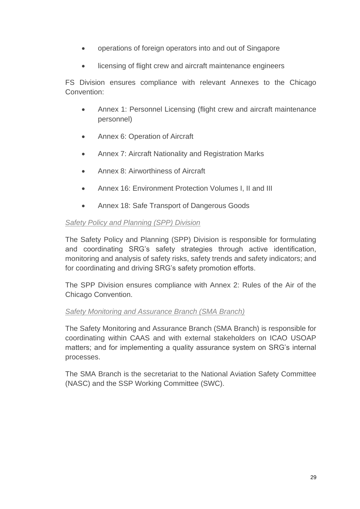- operations of foreign operators into and out of Singapore
- licensing of flight crew and aircraft maintenance engineers

FS Division ensures compliance with relevant Annexes to the Chicago Convention:

- Annex 1: Personnel Licensing (flight crew and aircraft maintenance personnel)
- Annex 6: Operation of Aircraft
- Annex 7: Aircraft Nationality and Registration Marks
- Annex 8: Airworthiness of Aircraft
- Annex 16: Environment Protection Volumes I, II and III
- Annex 18: Safe Transport of Dangerous Goods

# *Safety Policy and Planning (SPP) Division*

The Safety Policy and Planning (SPP) Division is responsible for formulating and coordinating SRG's safety strategies through active identification, monitoring and analysis of safety risks, safety trends and safety indicators; and for coordinating and driving SRG's safety promotion efforts.

The SPP Division ensures compliance with Annex 2: Rules of the Air of the Chicago Convention.

#### *Safety Monitoring and Assurance Branch (SMA Branch)*

The Safety Monitoring and Assurance Branch (SMA Branch) is responsible for coordinating within CAAS and with external stakeholders on ICAO USOAP matters; and for implementing a quality assurance system on SRG's internal processes.

The SMA Branch is the secretariat to the National Aviation Safety Committee (NASC) and the SSP Working Committee (SWC).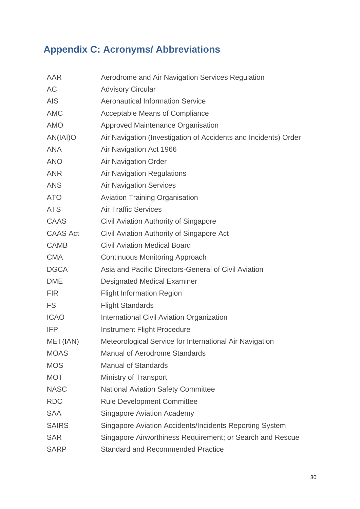# <span id="page-33-0"></span>**Appendix C: Acronyms/ Abbreviations**

| Aerodrome and Air Navigation Services Regulation                |
|-----------------------------------------------------------------|
| <b>Advisory Circular</b>                                        |
| <b>Aeronautical Information Service</b>                         |
| <b>Acceptable Means of Compliance</b>                           |
| Approved Maintenance Organisation                               |
| Air Navigation (Investigation of Accidents and Incidents) Order |
| Air Navigation Act 1966                                         |
| <b>Air Navigation Order</b>                                     |
| <b>Air Navigation Regulations</b>                               |
| <b>Air Navigation Services</b>                                  |
| <b>Aviation Training Organisation</b>                           |
| <b>Air Traffic Services</b>                                     |
| Civil Aviation Authority of Singapore                           |
| Civil Aviation Authority of Singapore Act                       |
| <b>Civil Aviation Medical Board</b>                             |
| <b>Continuous Monitoring Approach</b>                           |
| Asia and Pacific Directors-General of Civil Aviation            |
| <b>Designated Medical Examiner</b>                              |
| <b>Flight Information Region</b>                                |
| <b>Flight Standards</b>                                         |
| <b>International Civil Aviation Organization</b>                |
| <b>Instrument Flight Procedure</b>                              |
| Meteorological Service for International Air Navigation         |
| <b>Manual of Aerodrome Standards</b>                            |
| <b>Manual of Standards</b>                                      |
| <b>Ministry of Transport</b>                                    |
| <b>National Aviation Safety Committee</b>                       |
| <b>Rule Development Committee</b>                               |
| <b>Singapore Aviation Academy</b>                               |
| Singapore Aviation Accidents/Incidents Reporting System         |
| Singapore Airworthiness Requirement; or Search and Rescue       |
| <b>Standard and Recommended Practice</b>                        |
|                                                                 |